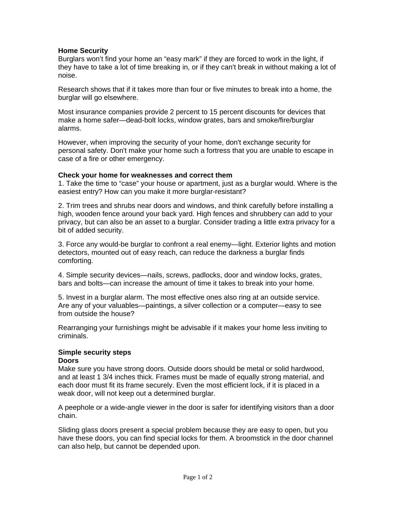# **Home Security**

Burglars won't find your home an "easy mark" if they are forced to work in the light, if they have to take a lot of time breaking in, or if they can't break in without making a lot of noise.

Research shows that if it takes more than four or five minutes to break into a home, the burglar will go elsewhere.

Most insurance companies provide 2 percent to 15 percent discounts for devices that make a home safer—dead-bolt locks, window grates, bars and smoke/fire/burglar alarms.

However, when improving the security of your home, don't exchange security for personal safety. Don't make your home such a fortress that you are unable to escape in case of a fire or other emergency.

#### **Check your home for weaknesses and correct them**

1. Take the time to "case" your house or apartment, just as a burglar would. Where is the easiest entry? How can you make it more burglar-resistant?

2. Trim trees and shrubs near doors and windows, and think carefully before installing a high, wooden fence around your back yard. High fences and shrubbery can add to your privacy, but can also be an asset to a burglar. Consider trading a little extra privacy for a bit of added security.

3. Force any would-be burglar to confront a real enemy—light. Exterior lights and motion detectors, mounted out of easy reach, can reduce the darkness a burglar finds comforting.

4. Simple security devices—nails, screws, padlocks, door and window locks, grates, bars and bolts—can increase the amount of time it takes to break into your home.

5. Invest in a burglar alarm. The most effective ones also ring at an outside service. Are any of your valuables—paintings, a silver collection or a computer—easy to see from outside the house?

Rearranging your furnishings might be advisable if it makes your home less inviting to criminals.

# **Simple security steps**

# **Doors**

Make sure you have strong doors. Outside doors should be metal or solid hardwood, and at least 1 3/4 inches thick. Frames must be made of equally strong material, and each door must fit its frame securely. Even the most efficient lock, if it is placed in a weak door, will not keep out a determined burglar.

A peephole or a wide-angle viewer in the door is safer for identifying visitors than a door chain.

Sliding glass doors present a special problem because they are easy to open, but you have these doors, you can find special locks for them. A broomstick in the door channel can also help, but cannot be depended upon.